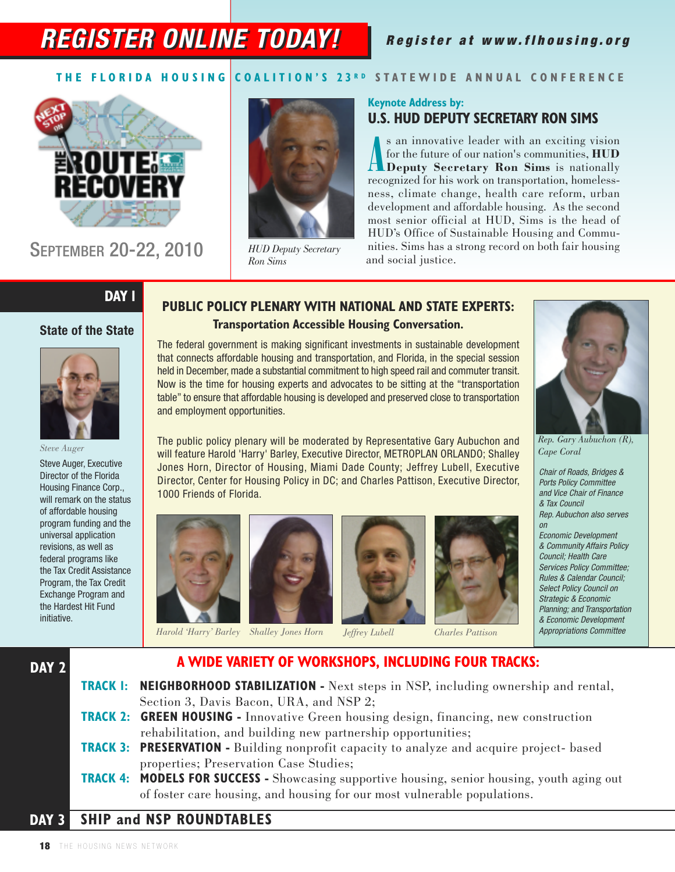# **REGISTER ONLINE TODAY!**

### Register at www.flhousing.org

#### THE FLORIDA HOUSING COALITION'S 23RD STATEWIDE ANNUAL CONFERENCE



SEPTEMBER 20-22, 2010



*HUD Deputy Secretary Ron Sims*

#### **Keynote Address by: U.S. HUD DEPUTY SECRETARY RON SIMS**

**A** s an innovative leader with an exciting vision<br>for the future of our nation's communities, **HUD**<br>**Deputy Secretary Ron Sims** is nationally<br>recognized for his work on transportation, homelesss an innovative leader with an exciting vision for the future of our nation's communities, **HUD Deputy Secretary Ron Sims** is nationally ness, climate change, health care reform, urban development and affordable housing. As the second most senior official at HUD, Sims is the head of HUD's Office of Sustainable Housing and Communities. Sims has a strong record on both fair housing and social justice.

### **DAY 1**

#### **State of the State**



**DAY 2**

Steve Auger, Executive Director of the Florida Housing Finance Corp., will remark on the status of affordable housing program funding and the universal application revisions, as well as federal programs like the Tax Credit Assistance Program, the Tax Credit Exchange Program and the Hardest Hit Fund initiative.

#### **PUBLIC POLICY PLENARY WITH NATIONAL AND STATE EXPERTS: Transportation Accessible Housing Conversation.**

The federal government is making significant investments in sustainable development that connects affordable housing and transportation, and Florida, in the special session held in December, made a substantial commitment to high speed rail and commuter transit. Now is the time for housing experts and advocates to be sitting at the "transportation table" to ensure that affordable housing is developed and preserved close to transportation and employment opportunities.

The public policy plenary will be moderated by Representative Gary Aubuchon and Rep. Gary Aubuchon (R), Steve Auger<br>*Rep. Gary Aubuchon (R),* **Rep.** *Rep. Gary Rep. Billies Incore Containery Plenary Conditions (R), Cape* will feature Harold 'Harry' Barley, Executive Director, METROPLAN ORLANDO; Shalley Jones Horn, Director of Housing, Miami Dade County; Jeffrey Lubell, Executive Director, Center for Housing Policy in DC; and Charles Pattison, Executive Director, 1000 Friends of Florida.













*Cape Coral*

Chair of Roads, Bridges & Ports Policy Committee and Vice Chair of Finance & Tax Council Rep. Aubuchon also serves on

*Harold 'Harry' Barley Shalley Jones Horn J* Appropriations Committee *effrey Lubell Charles Pattison* Economic Development & Community Affairs Policy Council; Health Care Services Policy Committee; Rules & Calendar Council; Select Policy Council on Strategic & Economic Planning; and Transportation & Economic Development





### **A WIDE VARIETY OF WORKSHOPS, INCLUDING FOUR TRACKS:**

**TRACK 1: NEIGHBORHOOD STABILIZATION -** Next steps in NSP, including ownership and rental, Section 3, Davis Bacon, URA, and NSP 2;

#### **TRACK 2: GREEN HOUSING -** Innovative Green housing design, financing, new construction rehabilitation, and building new partnership opportunities;

- **TRACK 3: PRESERVATION -** Building nonprofit capacity to analyze and acquire project- based properties; Preservation Case Studies;
- **TRACK 4: MODELS FOR SUCCESS -** Showcasing supportive housing, senior housing, youth aging out of foster care housing, and housing for our most vulnerable populations.

#### **SHIP and NSP ROUNDTABLES DAY 3**